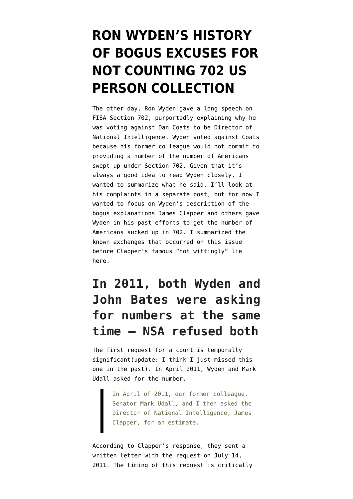# **[RON WYDEN'S HISTORY](https://www.emptywheel.net/2017/03/17/ron-wydens-history-of-bogus-excuses-for-not-counting-702-us-person-collection/) [OF BOGUS EXCUSES FOR](https://www.emptywheel.net/2017/03/17/ron-wydens-history-of-bogus-excuses-for-not-counting-702-us-person-collection/) [NOT COUNTING 702 US](https://www.emptywheel.net/2017/03/17/ron-wydens-history-of-bogus-excuses-for-not-counting-702-us-person-collection/) [PERSON COLLECTION](https://www.emptywheel.net/2017/03/17/ron-wydens-history-of-bogus-excuses-for-not-counting-702-us-person-collection/)**

The other day, Ron Wyden gave a [long speech](https://medium.com/@RonWyden/how-many-americans-are-swept-up-in-warrantless-foreign-surveillance-we-dont-know-2a3dab51634b#.dfi2ymxkx) on FISA Section 702, purportedly explaining why he was voting against Dan Coats to be Director of National Intelligence. Wyden voted against Coats because his former colleague would not commit to providing a number of the number of Americans swept up under Section 702. Given that it's always a good idea to read Wyden closely, I wanted to summarize what he said. I'll look at his complaints in a separate post, but for now I wanted to focus on Wyden's description of the bogus explanations James Clapper and others gave Wyden in his past efforts to get the number of Americans sucked up in 702. I summarized the known exchanges that occurred on this issue before Clapper's famous "not wittingly" lie [here](https://medium.com/@RonWyden/how-many-americans-are-swept-up-in-warrantless-foreign-surveillance-we-dont-know-2a3dab51634b#).

### **In 2011, both Wyden and John Bates were asking for numbers at the same time — NSA refused both**

The first request for a count is temporally significant(update: I think I just missed this one in the past). In April 2011, Wyden and Mark Udall asked for the number.

> In April of 2011, our former colleague, Senator Mark Udall, and I then asked the Director of National Intelligence, James Clapper, for an estimate.

According to Clapper's [response,](https://www.wyden.senate.gov/download/?id=3e2b2b89-83c8-4cca-bc61-7f4c13ae3ac7&download=1) they sent a written letter with the request on July 14, 2011. The timing of this request is critically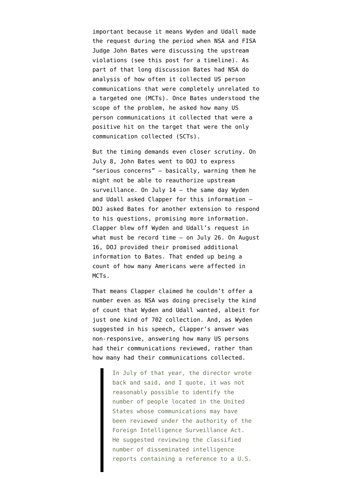important because it means Wyden and Udall made the request during the period when NSA and FISA Judge John Bates were discussing the upstream violations (see [this post](https://www.emptywheel.net/2013/10/13/the-2011-disclosures/) for a timeline). As part of that long discussion Bates had NSA do analysis of how often it collected US person communications that were completely unrelated to a targeted one (MCTs). Once Bates understood the scope of the problem, he asked how many US person communications it collected that were a positive hit on the target that were the only communication collected (SCTs).

But the timing demands even closer scrutiny. On July 8, John Bates went to DOJ to express "serious concerns" — basically, warning them he might not be able to reauthorize upstream surveillance. On July 14 — the same day Wyden and Udall asked Clapper for this information — DOJ asked Bates for another extension to respond to his questions, promising more information. Clapper blew off Wyden and Udall's request in what must be record time — on July 26. On August 16, DOJ provided their promised additional information to Bates. That ended up being a count of how many Americans were affected in MCTs.

That means Clapper claimed he couldn't offer a number even as NSA was doing precisely the kind of count that Wyden and Udall wanted, albeit for just one kind of 702 collection. And, as Wyden suggested in his speech, Clapper's answer was non-responsive, answering how many US persons had their communications reviewed, rather than how many had their communications collected.

> In July of that year, the director wrote back and said, and I quote, it was not reasonably possible to identify the number of people located in the United States whose communications may have been reviewed under the authority of the Foreign Intelligence Surveillance Act. He suggested reviewing the classified number of disseminated intelligence reports containing a reference to a U.S.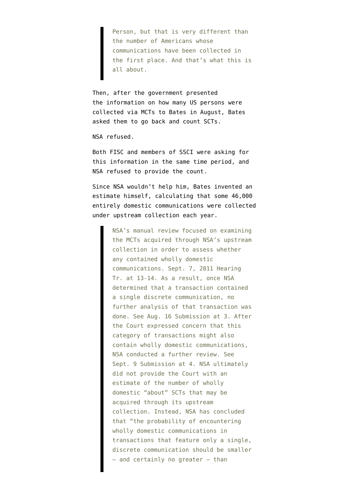Person, but that is very different than the number of Americans whose communications have been collected in the first place. And that's what this is all about.

Then, after the government presented the information on how many US persons were collected via MCTs to Bates in August, Bates asked them to go back and count SCTs.

NSA refused.

Both FISC and members of SSCI were asking for this information in the same time period, and NSA refused to provide the count.

Since NSA wouldn't help him, Bates [invented](https://www.emptywheel.net/2013/10/13/the-nsa-refuses-to-reveal-all-the-domestic-content-it-refuses-to-count/) an estimate himself, calculating that some 46,000 entirely domestic communications were collected under upstream collection each year.

> NSA's manual review focused on examining the MCTs acquired through NSA's upstream collection in order to assess whether any contained wholly domestic communications. Sept. 7, 2011 Hearing Tr. at 13-14. As a result, once NSA determined that a transaction contained a single discrete communication, no further analysis of that transaction was done. See Aug. 16 Submission at 3. After the Court expressed concern that this category of transactions might also contain wholly domestic communications, NSA conducted a further review. See Sept. 9 Submission at 4. NSA ultimately did not provide the Court with an estimate of the number of wholly domestic "about" SCTs that may be acquired through its upstream collection. Instead, NSA has concluded that "the probability of encountering wholly domestic communications in transactions that feature only a single, discrete communication should be smaller — and certainly no greater — than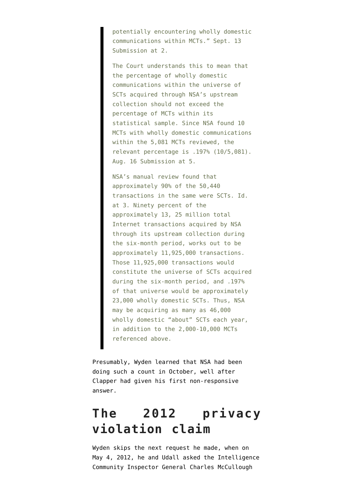potentially encountering wholly domestic communications within MCTs." Sept. 13 Submission at 2.

The Court understands this to mean that the percentage of wholly domestic communications within the universe of SCTs acquired through NSA's upstream collection should not exceed the percentage of MCTs within its statistical sample. Since NSA found 10 MCTs with wholly domestic communications within the 5,081 MCTs reviewed, the relevant percentage is .197% (10/5,081). Aug. 16 Submission at 5.

NSA's manual review found that approximately 90% of the 50,440 transactions in the same were SCTs. Id. at 3. Ninety percent of the approximately 13, 25 million total Internet transactions acquired by NSA through its upstream collection during the six-month period, works out to be approximately 11,925,000 transactions. Those 11,925,000 transactions would constitute the universe of SCTs acquired during the six-month period, and .197% of that universe would be approximately 23,000 wholly domestic SCTs. Thus, NSA may be acquiring as many as 46,000 wholly domestic "about" SCTs each year, in addition to the 2,000-10,000 MCTs referenced above.

Presumably, Wyden learned that NSA had been doing such a count in October, well after Clapper had given his first non-responsive answer.

## **The 2012 privacy violation claim**

Wyden skips the next request he made, when on May 4, 2012, he and Udall asked the Intelligence Community Inspector General Charles McCullough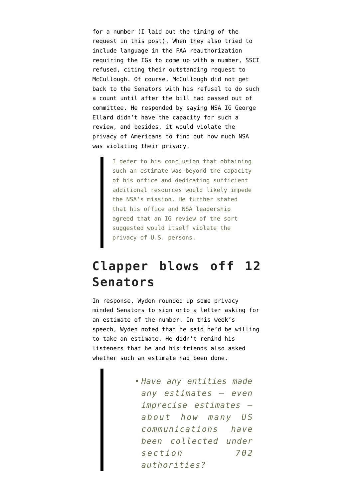for a number (I laid out the timing of the request in [this post](https://www.emptywheel.net/2012/06/19/the-only-independent-reviewer-of-targeting-and-minimization-refuses-to-review-it/)). When they also tried to include language in the FAA reauthorization requiring the IGs to come up with a number, SSCI refused, citing their outstanding request to McCullough. Of course, McCullough did not get back to the Senators with his refusal to do such a count until after the bill had passed out of committee. He [responded](http://www.wired.com/images_blogs/dangerroom/2012/06/IC-IG-Letter.pdf) by saying NSA IG George Ellard didn't have the capacity for such a review, and besides, it would violate the privacy of Americans to find out how much NSA was violating their privacy.

> I defer to his conclusion that obtaining such an estimate was beyond the capacity of his office and dedicating sufficient additional resources would likely impede the NSA's mission. He further stated that his office and NSA leadership agreed that an IG review of the sort suggested would itself violate the privacy of U.S. persons.

#### **Clapper blows off 12 Senators**

In response, Wyden rounded up some privacy minded Senators to sign onto a [letter](http://www.wyden.senate.gov/download/letter-to-dni?inline=google) asking for an estimate of the number. In this week's speech, Wyden noted that he said he'd be willing to take an estimate. He didn't remind his listeners that he and his friends also asked whether such an estimate had been done.

> *Have any entities made any estimates — even imprecise estimates about how many US communications have been collected under section 702 authorities?*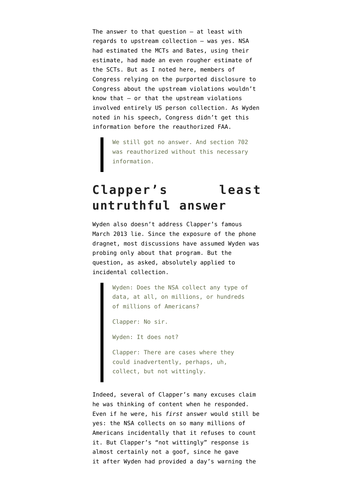The answer to that question  $-$  at least with regards to upstream collection — was yes. NSA had estimated the MCTs and Bates, using their estimate, had made an even rougher estimate of the SCTs. But as I noted [here](https://www.emptywheel.net/2013/10/13/the-nsa-refuses-to-reveal-all-the-domestic-content-it-refuses-to-count/), members of Congress relying on the purported disclosure to Congress about the upstream violations wouldn't know that — or that the upstream violations involved entirely US person collection. As Wyden noted in his speech, Congress didn't get this information before the reauthorized FAA.

We still got no answer. And section 702 was reauthorized without this necessary information.

#### **Clapper's least untruthful answer**

Wyden also doesn't address Clapper's famous March 2013 lie. Since the exposure of the phone dragnet, most discussions have assumed Wyden was probing only about that program. But the question, as asked, absolutely applied to incidental collection.

> Wyden: Does the NSA collect any type of data, at all, on millions, or hundreds of millions of Americans?

Clapper: No sir.

Wyden: It does not?

Clapper: There are cases where they could inadvertently, perhaps, uh, collect, but not wittingly.

Indeed, several of Clapper's [many excuses](https://www.emptywheel.net/2014/01/04/obviously-bogus-clapper-exoneration-attempt-4-0/) claim he was thinking of content when he responded. Even if he were, his *first* answer would still be yes: the NSA collects on so many millions of Americans incidentally that it refuses to count it. But Clapper's "not wittingly" response is almost certainly not a goof, since he gave it after Wyden had provided a day's warning the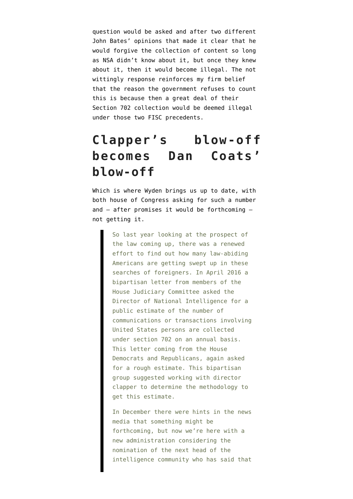question would be asked and after [two different](https://www.emptywheel.net/2013/11/20/john-bates-two-wiretapping-warnings-why-the-government-took-its-internet-dragnet-collection-overseas/) [John Bates' opinions](https://www.emptywheel.net/2013/11/20/john-bates-two-wiretapping-warnings-why-the-government-took-its-internet-dragnet-collection-overseas/) that made it clear that he would forgive the collection of content so long as NSA didn't know about it, but once they knew about it, then it would become illegal. The not wittingly response reinforces my firm belief that the reason the government refuses to count this is because then a great deal of their Section 702 collection would be deemed illegal under those two FISC precedents.

## **Clapper's blow-off becomes Dan Coats' blow-off**

Which is where Wyden brings us up to date, with both house of Congress asking for such a number and — after promises it would be forthcoming not getting it.

> So last year looking at the prospect of the law coming up, there was a renewed effort to find out how many law-abiding Americans are getting swept up in these searches of foreigners. In April 2016 a bipartisan letter from members of the House Judiciary Committee asked the Director of National Intelligence for a public estimate of the number of communications or transactions involving United States persons are collected under section 702 on an annual basis. This letter coming from the House Democrats and Republicans, again asked for a rough estimate. This bipartisan group suggested working with director clapper to determine the methodology to get this estimate.

In December there were hints in the news media that something might be forthcoming, but now we're here with a new administration considering the nomination of the next head of the intelligence community who has said that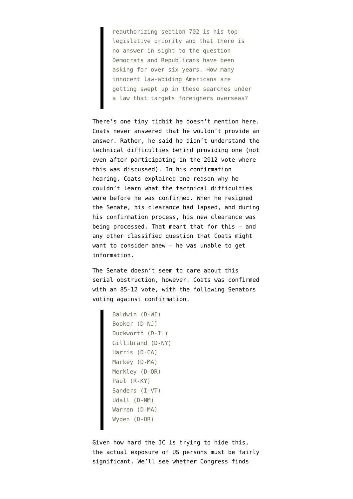reauthorizing section 702 is his top legislative priority and that there is no answer in sight to the question Democrats and Republicans have been asking for over six years. How many innocent law-abiding Americans are getting swept up in these searches under a law that targets foreigners overseas?

There's one tiny tidbit he doesn't mention here. Coats never answered that he wouldn't provide an answer. Rather, he said he didn't understand the technical difficulties behind providing one (not even after participating in the [2012 vote](https://fas.org/irp/congress/2012_rpt/faa-extend.html) where this was discussed). In his confirmation hearing, Coats explained one reason why he couldn't learn what the technical difficulties were before he was confirmed. When he resigned the Senate, his clearance had lapsed, and during his confirmation process, his new clearance was being processed. That meant that for this — and any other classified question that Coats might want to consider anew — he was unable to get information.

The Senate doesn't seem to care about this serial obstruction, however. Coats was confirmed with an [85-12 vote,](https://www.senate.gov/legislative/LIS/roll_call_lists/roll_call_vote_cfm.cfm?congress=115&session=1&vote=00089) with the following Senators voting against confirmation.

```
Baldwin (D-WI)
Booker (D-NJ)
Duckworth (D-IL)
Gillibrand (D-NY)
Harris (D-CA)
Markey (D-MA)
Merkley (D-OR)
Paul (R-KY)
Sanders (I-VT)
Udall (D-NM)
Warren (D-MA)
Wyden (D-OR)
```
Given how hard the IC is trying to hide this, the actual exposure of US persons must be fairly significant. We'll see whether Congress finds